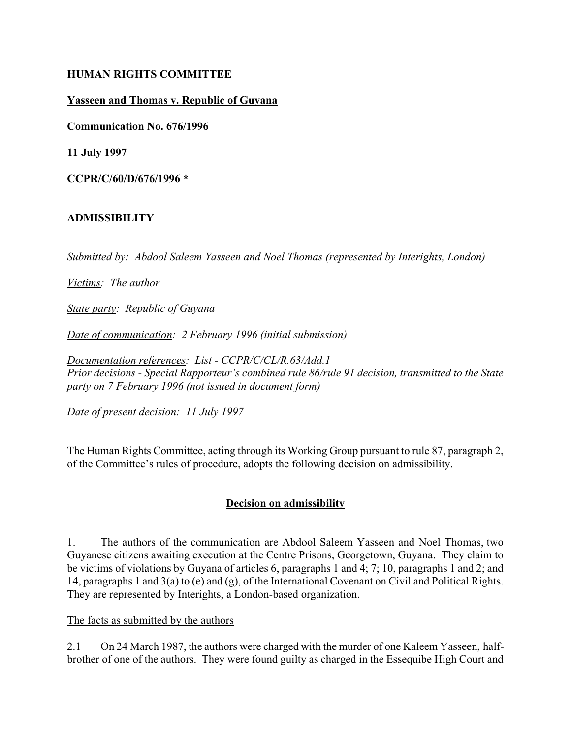## **HUMAN RIGHTS COMMITTEE**

## **Yasseen and Thomas v. Republic of Guyana**

**Communication No. 676/1996**

**11 July 1997**

**CCPR/C/60/D/676/1996 \***

### **ADMISSIBILITY**

*Submitted by: Abdool Saleem Yasseen and Noel Thomas (represented by Interights, London)*

*Victims: The author*

*State party: Republic of Guyana*

*Date of communication: 2 February 1996 (initial submission)*

*Documentation references: List - CCPR/C/CL/R.63/Add.1 Prior decisions - Special Rapporteur's combined rule 86/rule 91 decision, transmitted to the State party on 7 February 1996 (not issued in document form)*

*Date of present decision: 11 July 1997*

The Human Rights Committee, acting through its Working Group pursuant to rule 87, paragraph 2, of the Committee's rules of procedure, adopts the following decision on admissibility.

## **Decision on admissibility**

1. The authors of the communication are Abdool Saleem Yasseen and Noel Thomas, two Guyanese citizens awaiting execution at the Centre Prisons, Georgetown, Guyana. They claim to be victims of violations by Guyana of articles 6, paragraphs 1 and 4; 7; 10, paragraphs 1 and 2; and 14, paragraphs 1 and 3(a) to (e) and (g), of the International Covenant on Civil and Political Rights. They are represented by Interights, a London-based organization.

#### The facts as submitted by the authors

2.1 On 24 March 1987, the authors were charged with the murder of one Kaleem Yasseen, halfbrother of one of the authors. They were found guilty as charged in the Essequibe High Court and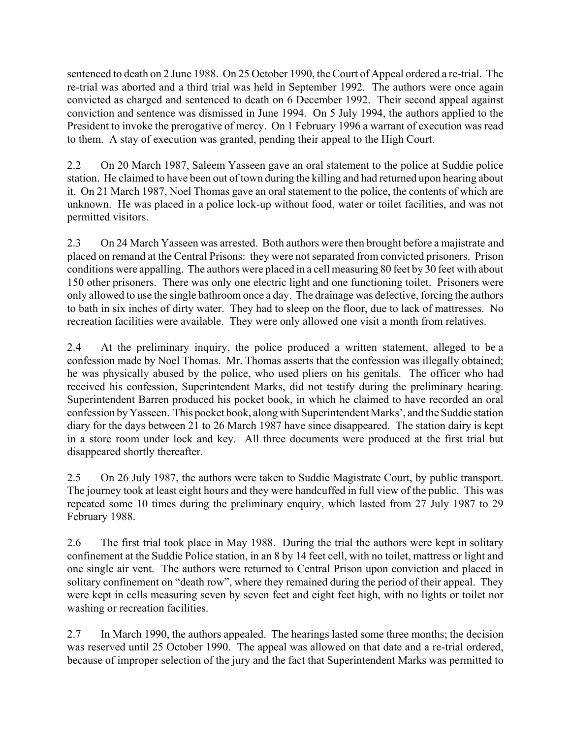sentenced to death on 2 June 1988. On 25 October 1990, the Court of Appeal ordered a re-trial. The re-trial was aborted and a third trial was held in September 1992. The authors were once again convicted as charged and sentenced to death on 6 December 1992. Their second appeal against conviction and sentence was dismissed in June 1994. On 5 July 1994, the authors applied to the President to invoke the prerogative of mercy. On 1 February 1996 a warrant of execution was read to them. A stay of execution was granted, pending their appeal to the High Court.

2.2 On 20 March 1987, Saleem Yasseen gave an oral statement to the police at Suddie police station. He claimed to have been out of town during the killing and had returned upon hearing about it. On 21 March 1987, Noel Thomas gave an oral statement to the police, the contents of which are unknown. He was placed in a police lock-up without food, water or toilet facilities, and was not permitted visitors.

2.3 On 24 March Yasseen was arrested. Both authors were then brought before a majistrate and placed on remand at the Central Prisons: they were not separated from convicted prisoners. Prison conditions were appalling. The authors were placed in a cell measuring 80 feet by 30 feet with about 150 other prisoners. There was only one electric light and one functioning toilet. Prisoners were only allowed to use the single bathroom once a day. The drainage was defective, forcing the authors to bath in six inches of dirty water. They had to sleep on the floor, due to lack of mattresses. No recreation facilities were available. They were only allowed one visit a month from relatives.

2.4 At the preliminary inquiry, the police produced a written statement, alleged to be a confession made by Noel Thomas. Mr. Thomas asserts that the confession was illegally obtained; he was physically abused by the police, who used pliers on his genitals. The officer who had received his confession, Superintendent Marks, did not testify during the preliminary hearing. Superintendent Barren produced his pocket book, in which he claimed to have recorded an oral confession by Yasseen. This pocket book, along with Superintendent Marks', and the Suddie station diary for the days between 21 to 26 March 1987 have since disappeared. The station dairy is kept in a store room under lock and key. All three documents were produced at the first trial but disappeared shortly thereafter.

2.5 On 26 July 1987, the authors were taken to Suddie Magistrate Court, by public transport. The journey took at least eight hours and they were handcuffed in full view of the public. This was repeated some 10 times during the preliminary enquiry, which lasted from 27 July 1987 to 29 February 1988.

2.6 The first trial took place in May 1988. During the trial the authors were kept in solitary confinement at the Suddie Police station, in an 8 by 14 feet cell, with no toilet, mattress or light and one single air vent. The authors were returned to Central Prison upon conviction and placed in solitary confinement on "death row", where they remained during the period of their appeal. They were kept in cells measuring seven by seven feet and eight feet high, with no lights or toilet nor washing or recreation facilities.

2.7 In March 1990, the authors appealed. The hearings lasted some three months; the decision was reserved until 25 October 1990. The appeal was allowed on that date and a re-trial ordered, because of improper selection of the jury and the fact that Superintendent Marks was permitted to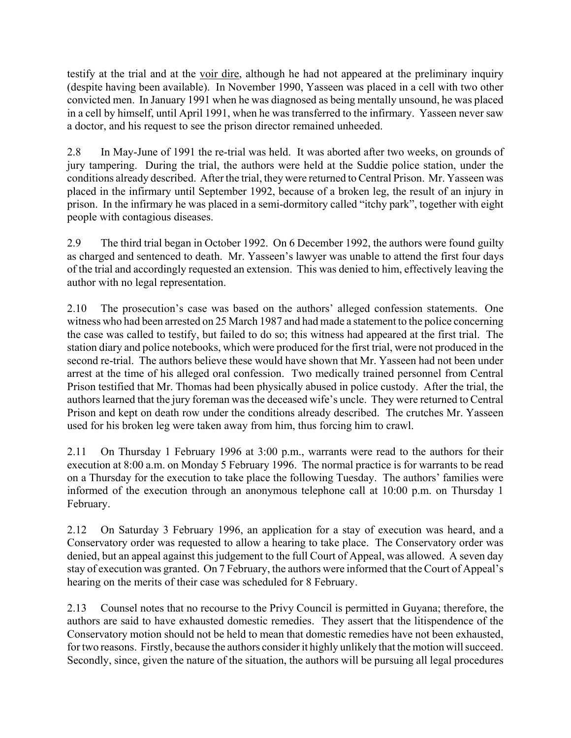testify at the trial and at the voir dire, although he had not appeared at the preliminary inquiry (despite having been available). In November 1990, Yasseen was placed in a cell with two other convicted men. In January 1991 when he was diagnosed as being mentally unsound, he was placed in a cell by himself, until April 1991, when he was transferred to the infirmary. Yasseen never saw a doctor, and his request to see the prison director remained unheeded.

2.8 In May-June of 1991 the re-trial was held. It was aborted after two weeks, on grounds of jury tampering. During the trial, the authors were held at the Suddie police station, under the conditions already described. After the trial, they were returned to Central Prison. Mr. Yasseen was placed in the infirmary until September 1992, because of a broken leg, the result of an injury in prison. In the infirmary he was placed in a semi-dormitory called "itchy park", together with eight people with contagious diseases.

2.9 The third trial began in October 1992. On 6 December 1992, the authors were found guilty as charged and sentenced to death. Mr. Yasseen's lawyer was unable to attend the first four days of the trial and accordingly requested an extension. This was denied to him, effectively leaving the author with no legal representation.

2.10 The prosecution's case was based on the authors' alleged confession statements. One witness who had been arrested on 25 March 1987 and had made a statement to the police concerning the case was called to testify, but failed to do so; this witness had appeared at the first trial. The station diary and police notebooks, which were produced for the first trial, were not produced in the second re-trial. The authors believe these would have shown that Mr. Yasseen had not been under arrest at the time of his alleged oral confession. Two medically trained personnel from Central Prison testified that Mr. Thomas had been physically abused in police custody. After the trial, the authors learned that the jury foreman was the deceased wife's uncle. They were returned to Central Prison and kept on death row under the conditions already described. The crutches Mr. Yasseen used for his broken leg were taken away from him, thus forcing him to crawl.

2.11 On Thursday 1 February 1996 at 3:00 p.m., warrants were read to the authors for their execution at 8:00 a.m. on Monday 5 February 1996. The normal practice is for warrants to be read on a Thursday for the execution to take place the following Tuesday. The authors' families were informed of the execution through an anonymous telephone call at 10:00 p.m. on Thursday 1 February.

2.12 On Saturday 3 February 1996, an application for a stay of execution was heard, and a Conservatory order was requested to allow a hearing to take place. The Conservatory order was denied, but an appeal against this judgement to the full Court of Appeal, was allowed. A seven day stay of execution was granted. On 7 February, the authors were informed that the Court of Appeal's hearing on the merits of their case was scheduled for 8 February.

2.13 Counsel notes that no recourse to the Privy Council is permitted in Guyana; therefore, the authors are said to have exhausted domestic remedies. They assert that the litispendence of the Conservatory motion should not be held to mean that domestic remedies have not been exhausted, for two reasons. Firstly, because the authors consider it highly unlikely that the motion will succeed. Secondly, since, given the nature of the situation, the authors will be pursuing all legal procedures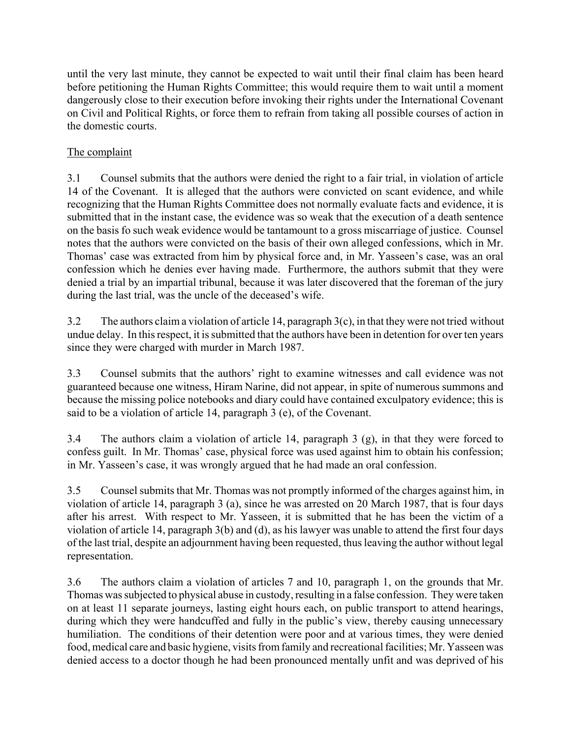until the very last minute, they cannot be expected to wait until their final claim has been heard before petitioning the Human Rights Committee; this would require them to wait until a moment dangerously close to their execution before invoking their rights under the International Covenant on Civil and Political Rights, or force them to refrain from taking all possible courses of action in the domestic courts.

# The complaint

3.1 Counsel submits that the authors were denied the right to a fair trial, in violation of article 14 of the Covenant. It is alleged that the authors were convicted on scant evidence, and while recognizing that the Human Rights Committee does not normally evaluate facts and evidence, it is submitted that in the instant case, the evidence was so weak that the execution of a death sentence on the basis fo such weak evidence would be tantamount to a gross miscarriage of justice. Counsel notes that the authors were convicted on the basis of their own alleged confessions, which in Mr. Thomas' case was extracted from him by physical force and, in Mr. Yasseen's case, was an oral confession which he denies ever having made. Furthermore, the authors submit that they were denied a trial by an impartial tribunal, because it was later discovered that the foreman of the jury during the last trial, was the uncle of the deceased's wife.

3.2 The authors claim a violation of article 14, paragraph 3(c), in that they were not tried without undue delay. In this respect, it is submitted that the authors have been in detention for over ten years since they were charged with murder in March 1987.

3.3 Counsel submits that the authors' right to examine witnesses and call evidence was not guaranteed because one witness, Hiram Narine, did not appear, in spite of numerous summons and because the missing police notebooks and diary could have contained exculpatory evidence; this is said to be a violation of article 14, paragraph 3 (e), of the Covenant.

3.4 The authors claim a violation of article 14, paragraph 3 (g), in that they were forced to confess guilt. In Mr. Thomas' case, physical force was used against him to obtain his confession; in Mr. Yasseen's case, it was wrongly argued that he had made an oral confession.

3.5 Counsel submits that Mr. Thomas was not promptly informed of the charges against him, in violation of article 14, paragraph 3 (a), since he was arrested on 20 March 1987, that is four days after his arrest. With respect to Mr. Yasseen, it is submitted that he has been the victim of a violation of article 14, paragraph 3(b) and (d), as his lawyer was unable to attend the first four days of the last trial, despite an adjournment having been requested, thus leaving the author without legal representation.

3.6 The authors claim a violation of articles 7 and 10, paragraph 1, on the grounds that Mr. Thomas was subjected to physical abuse in custody, resulting in a false confession. They were taken on at least 11 separate journeys, lasting eight hours each, on public transport to attend hearings, during which they were handcuffed and fully in the public's view, thereby causing unnecessary humiliation. The conditions of their detention were poor and at various times, they were denied food, medical care and basic hygiene, visits from family and recreational facilities; Mr. Yasseen was denied access to a doctor though he had been pronounced mentally unfit and was deprived of his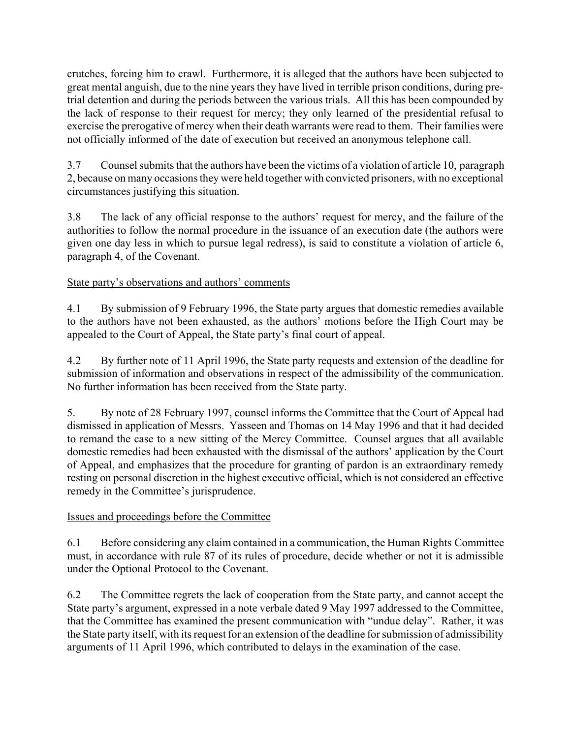crutches, forcing him to crawl. Furthermore, it is alleged that the authors have been subjected to great mental anguish, due to the nine years they have lived in terrible prison conditions, during pretrial detention and during the periods between the various trials. All this has been compounded by the lack of response to their request for mercy; they only learned of the presidential refusal to exercise the prerogative of mercy when their death warrants were read to them. Their families were not officially informed of the date of execution but received an anonymous telephone call.

3.7 Counsel submits that the authors have been the victims of a violation of article 10, paragraph 2, because on many occasions they were held together with convicted prisoners, with no exceptional circumstances justifying this situation.

3.8 The lack of any official response to the authors' request for mercy, and the failure of the authorities to follow the normal procedure in the issuance of an execution date (the authors were given one day less in which to pursue legal redress), is said to constitute a violation of article 6, paragraph 4, of the Covenant.

## State party's observations and authors' comments

4.1 By submission of 9 February 1996, the State party argues that domestic remedies available to the authors have not been exhausted, as the authors' motions before the High Court may be appealed to the Court of Appeal, the State party's final court of appeal.

4.2 By further note of 11 April 1996, the State party requests and extension of the deadline for submission of information and observations in respect of the admissibility of the communication. No further information has been received from the State party.

5. By note of 28 February 1997, counsel informs the Committee that the Court of Appeal had dismissed in application of Messrs. Yasseen and Thomas on 14 May 1996 and that it had decided to remand the case to a new sitting of the Mercy Committee. Counsel argues that all available domestic remedies had been exhausted with the dismissal of the authors' application by the Court of Appeal, and emphasizes that the procedure for granting of pardon is an extraordinary remedy resting on personal discretion in the highest executive official, which is not considered an effective remedy in the Committee's jurisprudence.

## Issues and proceedings before the Committee

6.1 Before considering any claim contained in a communication, the Human Rights Committee must, in accordance with rule 87 of its rules of procedure, decide whether or not it is admissible under the Optional Protocol to the Covenant.

6.2 The Committee regrets the lack of cooperation from the State party, and cannot accept the State party's argument, expressed in a note verbale dated 9 May 1997 addressed to the Committee, that the Committee has examined the present communication with "undue delay". Rather, it was the State party itself, with its request for an extension of the deadline for submission of admissibility arguments of 11 April 1996, which contributed to delays in the examination of the case.